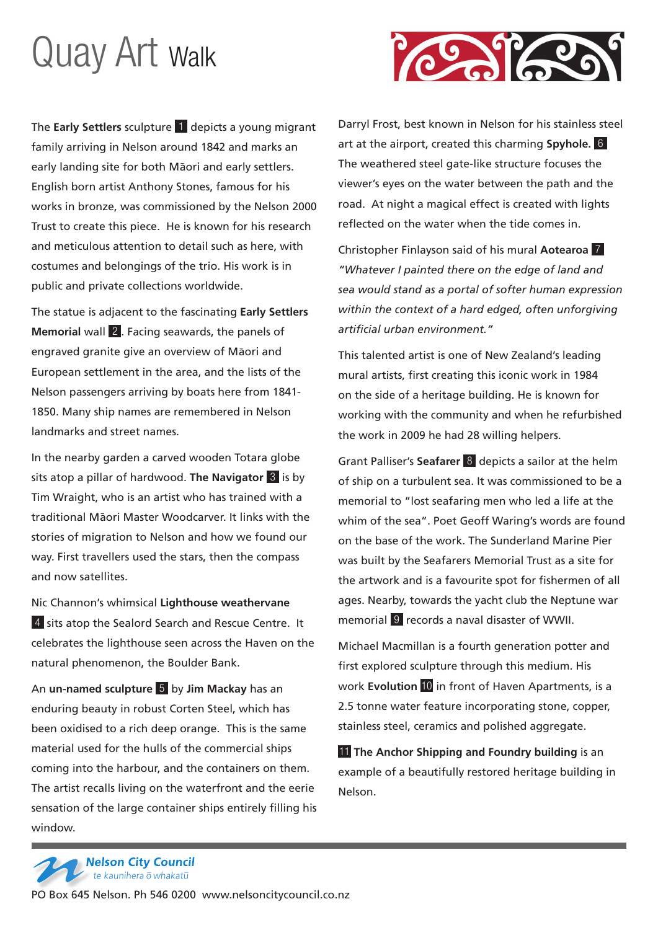## Quay Art Walk

The **Early Settlers** sculpture 1 depicts a young migrant family arriving in Nelson around 1842 and marks an early landing site for both Maori and early settlers. English born artist Anthony Stones, famous for his works in bronze, was commissioned by the Nelson 2000 Trust to create this piece. He is known for his research and meticulous attention to detail such as here, with costumes and belongings of the trio. His work is in public and private collections worldwide.

The statue is adjacent to the fascinating **Early Settlers Memorial** wall 2 . Facing seawards, the panels of engraved granite give an overview of Māori and European settlement in the area, and the lists of the Nelson passengers arriving by boats here from 1841- 1850. Many ship names are remembered in Nelson landmarks and street names.

In the nearby garden a carved wooden Totara globe sits atop a pillar of hardwood. **The Navigator** 3 is by Tim Wraight, who is an artist who has trained with a traditional Māori Master Woodcarver. It links with the stories of migration to Nelson and how we found our way. First travellers used the stars, then the compass and now satellites.

Nic Channon's whimsical **Lighthouse weathervane** 4 sits atop the Sealord Search and Rescue Centre. It celebrates the lighthouse seen across the Haven on the natural phenomenon, the Boulder Bank.

An **un-named sculpture** 5 by **Jim Mackay** has an enduring beauty in robust Corten Steel, which has been oxidised to a rich deep orange. This is the same material used for the hulls of the commercial ships coming into the harbour, and the containers on them. The artist recalls living on the waterfront and the eerie sensation of the large container ships entirely filling his window.

Darryl Frost, best known in Nelson for his stainless steel art at the airport, created this charming **Spyhole.** 6 The weathered steel gate-like structure focuses the viewer's eyes on the water between the path and the road. At night a magical effect is created with lights reflected on the water when the tide comes in.

Christopher Finlayson said of his mural **Aotearoa** 7 *"Whatever I painted there on the edge of land and sea would stand as a portal of softer human expression within the context of a hard edged, often unforgiving artificial urban environment."*

This talented artist is one of New Zealand's leading mural artists, first creating this iconic work in 1984 on the side of a heritage building. He is known for working with the community and when he refurbished the work in 2009 he had 28 willing helpers.

Grant Palliser's **Seafarer** 8 depicts a sailor at the helm of ship on a turbulent sea. It was commissioned to be a memorial to "lost seafaring men who led a life at the whim of the sea". Poet Geoff Waring's words are found on the base of the work. The Sunderland Marine Pier was built by the Seafarers Memorial Trust as a site for the artwork and is a favourite spot for fishermen of all ages. Nearby, towards the yacht club the Neptune war memorial 9 records a naval disaster of WWII.

Michael Macmillan is a fourth generation potter and first explored sculpture through this medium. His work **Evolution** 10 in front of Haven Apartments, is a 2.5 tonne water feature incorporating stone, copper, stainless steel, ceramics and polished aggregate.

**11** The Anchor Shipping and Foundry building is an example of a beautifully restored heritage building in Nelson.

**Nelson City Council**<br>Ce the kaunihera o whakatū

PO Box 645 Nelson. Ph 546 0200 www.nelsoncitycouncil.co.nz